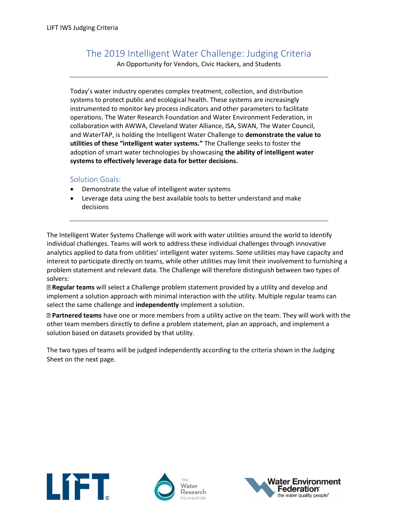## The 2019 Intelligent Water Challenge: Judging Criteria

An Opportunity for Vendors, Civic Hackers, and Students

Today's water industry operates complex treatment, collection, and distribution systems to protect public and ecological health. These systems are increasingly instrumented to monitor key process indicators and other parameters to facilitate operations. The Water Research Foundation and Water Environment Federation, in collaboration with AWWA, Cleveland Water Alliance, ISA, SWAN, The Water Council, and WaterTAP, is holding the Intelligent Water Challenge to **demonstrate the value to utilities of these "intelligent water systems."** The Challenge seeks to foster the adoption of smart water technologies by showcasing **the ability of intelligent water systems to effectively leverage data for better decisions.**

## Solution Goals:

- Demonstrate the value of intelligent water systems
- Leverage data using the best available tools to better understand and make decisions

The Intelligent Water Systems Challenge will work with water utilities around the world to identify individual challenges. Teams will work to address these individual challenges through innovative analytics applied to data from utilities' intelligent water systems. Some utilities may have capacity and interest to participate directly on teams, while other utilities may limit their involvement to furnishing a problem statement and relevant data. The Challenge will therefore distinguish between two types of solvers:

**Regular teams** will select a Challenge problem statement provided by a utility and develop and implement a solution approach with minimal interaction with the utility. Multiple regular teams can select the same challenge and **independently** implement a solution.

**Partnered teams** have one or more members from a utility active on the team. They will work with the other team members directly to define a problem statement, plan an approach, and implement a solution based on datasets provided by that utility.

The two types of teams will be judged independently according to the criteria shown in the Judging Sheet on the next page.